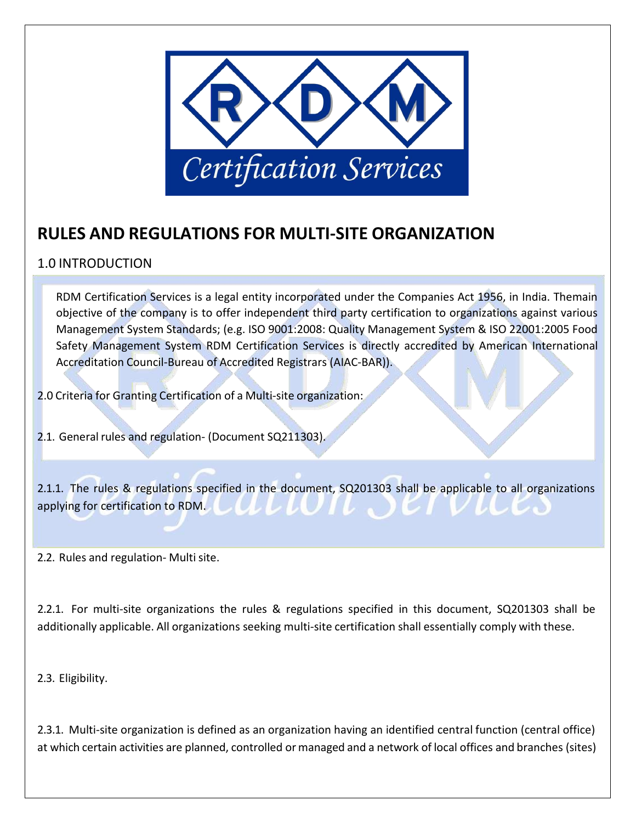

## **RULES AND REGULATIONS FOR MULTI-SITE ORGANIZATION**

## 1.0 INTRODUCTION

RDM Certification Services is a legal entity incorporated under the Companies Act 1956, in India. Themain objective of the company is to offer independent third party certification to organizations against various Management System Standards; (e.g. ISO 9001:2008: Quality Management System & ISO 22001:2005 Food Safety Management System RDM Certification Services is directly accredited by American International Accreditation Council-Bureau of Accredited Registrars (AIAC-BAR)).

2.0 Criteria for Granting Certification of a Multi-site organization:

2.1. General rules and regulation- (Document SQ211303).

2.1.1. The rules & regulations specified in the document, SQ201303 shall be applicable to all organizations applying for certification to RDM.

2.2. Rules and regulation- Multi site.

2.2.1. For multi-site organizations the rules & regulations specified in this document, SQ201303 shall be additionally applicable. All organizations seeking multi-site certification shall essentially comply with these.

2.3. Eligibility.

2.3.1. Multi-site organization is defined as an organization having an identified central function (central office) at which certain activities are planned, controlled or managed and a network of local offices and branches (sites)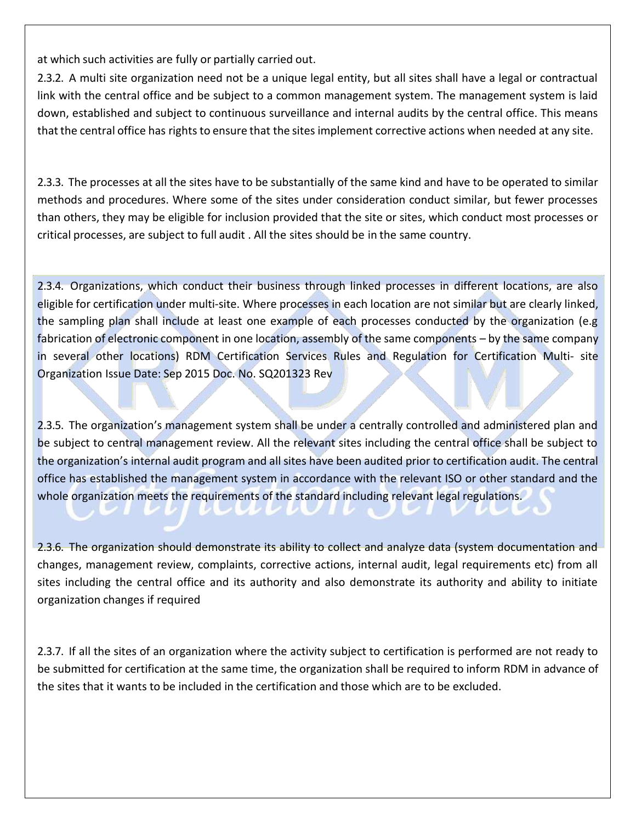at which such activities are fully or partially carried out.

2.3.2. A multi site organization need not be a unique legal entity, but all sites shall have a legal or contractual link with the central office and be subject to a common management system. The management system is laid down, established and subject to continuous surveillance and internal audits by the central office. This means that the central office has rights to ensure that the sites implement corrective actions when needed at any site.

2.3.3. The processes at all the sites have to be substantially of the same kind and have to be operated to similar methods and procedures. Where some of the sites under consideration conduct similar, but fewer processes than others, they may be eligible for inclusion provided that the site or sites, which conduct most processes or critical processes, are subject to full audit . All the sites should be in the same country.

2.3.4. Organizations, which conduct their business through linked processes in different locations, are also eligible for certification under multi-site. Where processes in each location are not similar but are clearly linked, the sampling plan shall include at least one example of each processes conducted by the organization (e.g fabrication of electronic component in one location, assembly of the same components – by the same company in several other locations) RDM Certification Services Rules and Regulation for Certification Multi- site Organization Issue Date: Sep 2015 Doc. No. SQ201323 Rev

2.3.5. The organization's management system shall be under a centrally controlled and administered plan and be subject to central management review. All the relevant sites including the central office shall be subject to the organization's internal audit program and all sites have been audited prior to certification audit. The central office has established the management system in accordance with the relevant ISO or other standard and the whole organization meets the requirements of the standard including relevant legal regulations.

2.3.6. The organization should demonstrate its ability to collect and analyze data (system documentation and changes, management review, complaints, corrective actions, internal audit, legal requirements etc) from all sites including the central office and its authority and also demonstrate its authority and ability to initiate organization changes if required

2.3.7. If all the sites of an organization where the activity subject to certification is performed are not ready to be submitted for certification at the same time, the organization shall be required to inform RDM in advance of the sites that it wants to be included in the certification and those which are to be excluded.